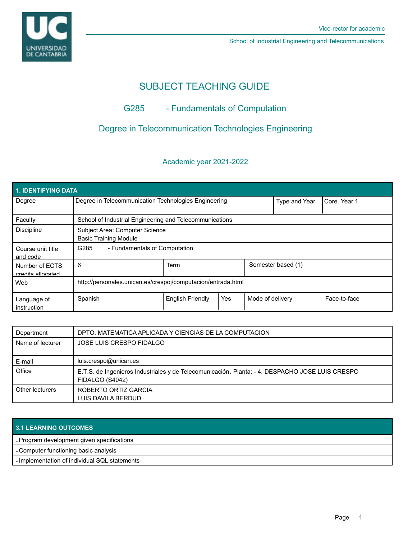

School of Industrial Engineering and Telecommunications

# SUBJECT TEACHING GUIDE

## G285 - Fundamentals of Computation

## Degree in Telecommunication Technologies Engineering

#### Academic year 2021-2022

| <b>1. IDENTIFYING DATA</b>          |                                                                |                         |                    |                  |              |              |  |  |
|-------------------------------------|----------------------------------------------------------------|-------------------------|--------------------|------------------|--------------|--------------|--|--|
| Degree                              | Degree in Telecommunication Technologies Engineering           |                         |                    | Type and Year    | Core, Year 1 |              |  |  |
| Faculty                             | School of Industrial Engineering and Telecommunications        |                         |                    |                  |              |              |  |  |
| <b>Discipline</b>                   | Subject Area: Computer Science<br><b>Basic Training Module</b> |                         |                    |                  |              |              |  |  |
| Course unit title<br>and code       | G285<br>- Fundamentals of Computation                          |                         |                    |                  |              |              |  |  |
| Number of ECTS<br>credits allocated | 6                                                              | Term                    | Semester based (1) |                  |              |              |  |  |
| Web                                 | http://personales.unican.es/crespoj/computacion/entrada.html   |                         |                    |                  |              |              |  |  |
| Language of<br>instruction          | Spanish                                                        | <b>English Friendly</b> | Yes                | Mode of delivery |              | Face-to-face |  |  |

| Department       | DPTO. MATEMATICA APLICADA Y CIENCIAS DE LA COMPUTACION                                                             |  |  |
|------------------|--------------------------------------------------------------------------------------------------------------------|--|--|
| Name of lecturer | JOSE LUIS CRESPO FIDALGO                                                                                           |  |  |
| E-mail           | luis.crespo@unican.es                                                                                              |  |  |
| Office           | E.T.S. de Ingenieros Industriales y de Telecomunicación. Planta: - 4. DESPACHO JOSE LUIS CRESPO<br>FIDALGO (S4042) |  |  |
| Other lecturers  | ROBERTO ORTIZ GARCIA<br>LUIS DAVILA BERDUD                                                                         |  |  |

| <b>3.1 LEARNING OUTCOMES</b>                  |  |
|-----------------------------------------------|--|
| - Program development given specifications    |  |
| - Computer functioning basic analysis         |  |
| - Implementation of individual SQL statements |  |